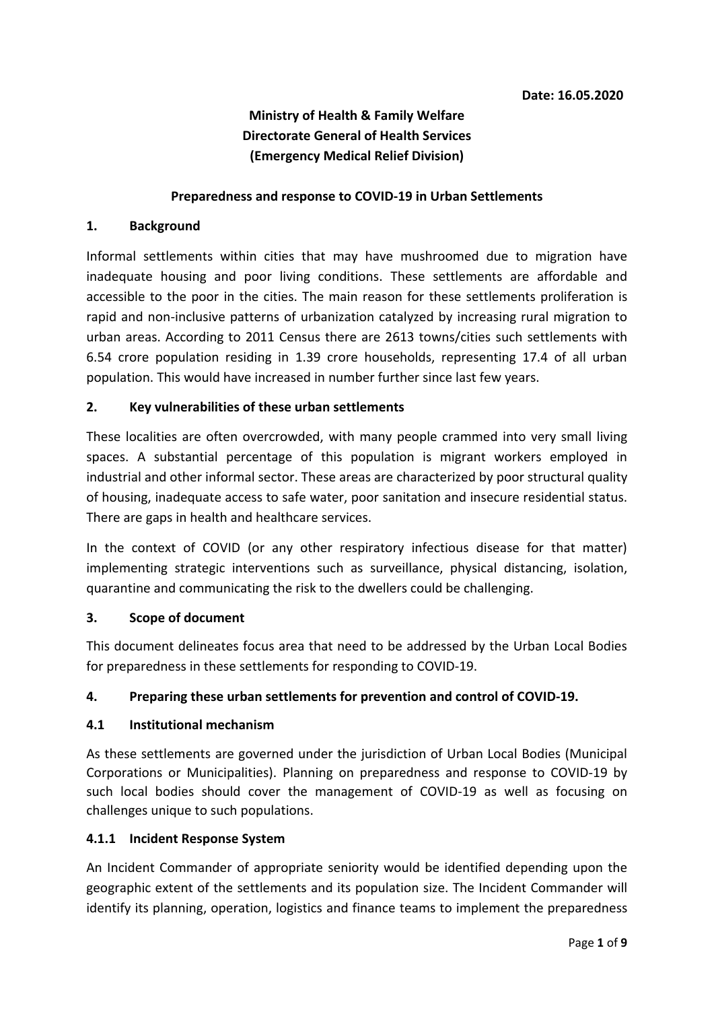# **Ministry of Health & Family Welfare Directorate General of Health Services (Emergency Medical Relief Division)**

#### **Preparedness and response to COVID-19 in Urban Settlements**

#### **1. Background**

Informal settlements within cities that may have mushroomed due to migration have inadequate housing and poor living conditions. These settlements are affordable and accessible to the poor in the cities. The main reason for these settlements proliferation is rapid and non-inclusive patterns of urbanization catalyzed by increasing rural migration to urban areas. According to 2011 Census there are 2613 towns/cities such settlements with 6.54 crore population residing in 1.39 crore households, representing 17.4 of all urban population. This would have increased in number further since last few years.

#### **2. Key vulnerabilities of these urban settlements**

These localities are often overcrowded, with many people crammed into very small living spaces. A substantial percentage of this population is migrant workers employed in industrial and other informal sector. These areas are characterized by poor structural quality of housing, inadequate access to safe water, poor sanitation and insecure residential status. There are gaps in health and healthcare services.

In the context of COVID (or any other respiratory infectious disease for that matter) implementing strategic interventions such as surveillance, physical distancing, isolation, quarantine and communicating the risk to the dwellers could be challenging.

#### **3. Scope of document**

This document delineates focus area that need to be addressed by the Urban Local Bodies for preparedness in these settlements for responding to COVID-19.

## **4. Preparing these urban settlements for prevention and control of COVID-19.**

#### **4.1 Institutional mechanism**

As these settlements are governed under the jurisdiction of Urban Local Bodies (Municipal Corporations or Municipalities). Planning on preparedness and response to COVID-19 by such local bodies should cover the management of COVID-19 as well as focusing on challenges unique to such populations.

#### **4.1.1 Incident Response System**

An Incident Commander of appropriate seniority would be identified depending upon the geographic extent of the settlements and its population size. The Incident Commander will identify its planning, operation, logistics and finance teams to implement the preparedness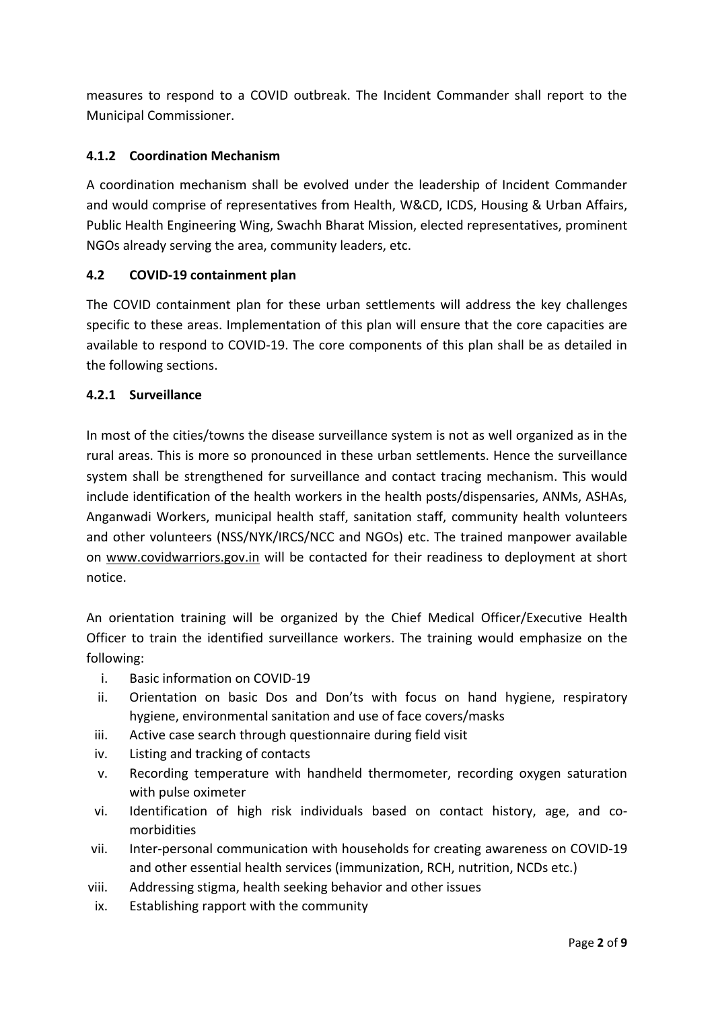measures to respond to a COVID outbreak. The Incident Commander shall report to the Municipal Commissioner.

## **4.1.2 Coordination Mechanism**

A coordination mechanism shall be evolved under the leadership of Incident Commander and would comprise of representatives from Health, W&CD, ICDS, Housing & Urban Affairs, Public Health Engineering Wing, Swachh Bharat Mission, elected representatives, prominent NGOs already serving the area, community leaders, etc.

## **4.2 COVID-19 containment plan**

The COVID containment plan for these urban settlements will address the key challenges specific to these areas. Implementation of this plan will ensure that the core capacities are available to respond to COVID-19. The core components of this plan shall be as detailed in the following sections.

#### **4.2.1 Surveillance**

In most of the cities/towns the disease surveillance system is not as well organized as in the rural areas. This is more so pronounced in these urban settlements. Hence the surveillance system shall be strengthened for surveillance and contact tracing mechanism. This would include identification of the health workers in the health posts/dispensaries, ANMs, ASHAs, Anganwadi Workers, municipal health staff, sanitation staff, community health volunteers and other volunteers (NSS/NYK/IRCS/NCC and NGOs) etc. The trained manpower available on [www.covidwarriors.gov.in](http://www.covidwarriors.gov.in/) will be contacted for their readiness to deployment at short notice.

An orientation training will be organized by the Chief Medical Officer/Executive Health Officer to train the identified surveillance workers. The training would emphasize on the following:

- i. Basic information on COVID-19
- ii. Orientation on basic Dos and Don'ts with focus on hand hygiene, respiratory hygiene, environmental sanitation and use of face covers/masks
- iii. Active case search through questionnaire during field visit
- iv. Listing and tracking of contacts
- v. Recording temperature with handheld thermometer, recording oxygen saturation with pulse oximeter
- vi. Identification of high risk individuals based on contact history, age, and comorbidities
- vii. Inter-personal communication with households for creating awareness on COVID-19 and other essential health services (immunization, RCH, nutrition, NCDs etc.)
- viii. Addressing stigma, health seeking behavior and other issues
- ix. Establishing rapport with the community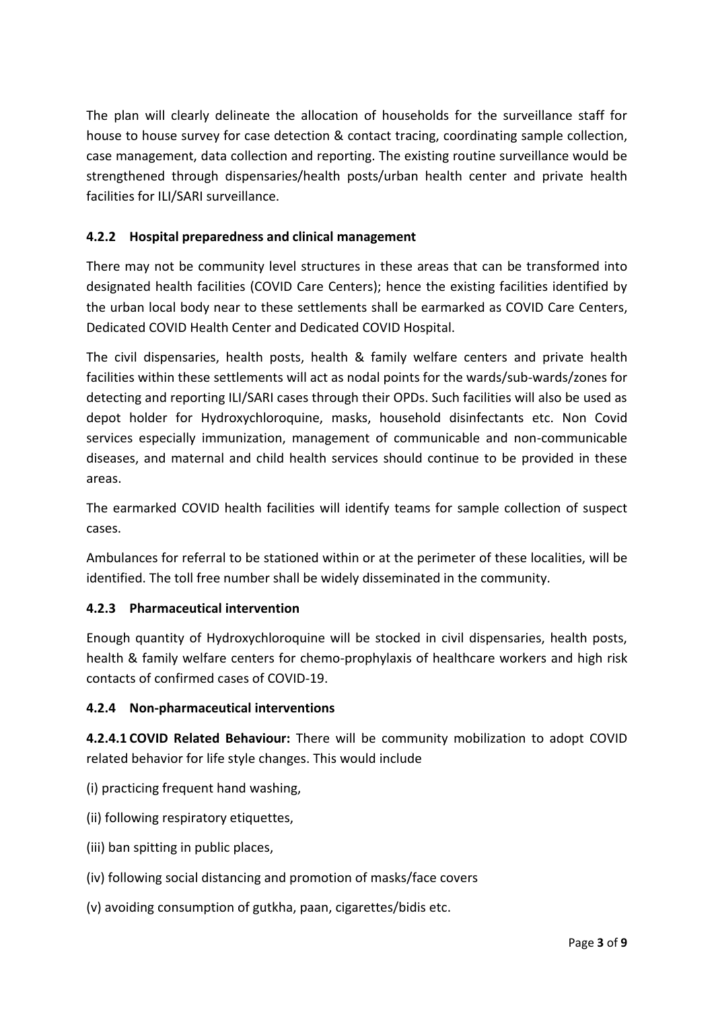The plan will clearly delineate the allocation of households for the surveillance staff for house to house survey for case detection & contact tracing, coordinating sample collection, case management, data collection and reporting. The existing routine surveillance would be strengthened through dispensaries/health posts/urban health center and private health facilities for ILI/SARI surveillance.

## **4.2.2 Hospital preparedness and clinical management**

There may not be community level structures in these areas that can be transformed into designated health facilities (COVID Care Centers); hence the existing facilities identified by the urban local body near to these settlements shall be earmarked as COVID Care Centers, Dedicated COVID Health Center and Dedicated COVID Hospital.

The civil dispensaries, health posts, health & family welfare centers and private health facilities within these settlements will act as nodal points for the wards/sub-wards/zones for detecting and reporting ILI/SARI cases through their OPDs. Such facilities will also be used as depot holder for Hydroxychloroquine, masks, household disinfectants etc. Non Covid services especially immunization, management of communicable and non-communicable diseases, and maternal and child health services should continue to be provided in these areas.

The earmarked COVID health facilities will identify teams for sample collection of suspect cases.

Ambulances for referral to be stationed within or at the perimeter of these localities, will be identified. The toll free number shall be widely disseminated in the community.

## **4.2.3 Pharmaceutical intervention**

Enough quantity of Hydroxychloroquine will be stocked in civil dispensaries, health posts, health & family welfare centers for chemo-prophylaxis of healthcare workers and high risk contacts of confirmed cases of COVID-19.

## **4.2.4 Non-pharmaceutical interventions**

**4.2.4.1 COVID Related Behaviour:** There will be community mobilization to adopt COVID related behavior for life style changes. This would include

- (i) practicing frequent hand washing,
- (ii) following respiratory etiquettes,
- (iii) ban spitting in public places,
- (iv) following social distancing and promotion of masks/face covers
- (v) avoiding consumption of gutkha, paan, cigarettes/bidis etc.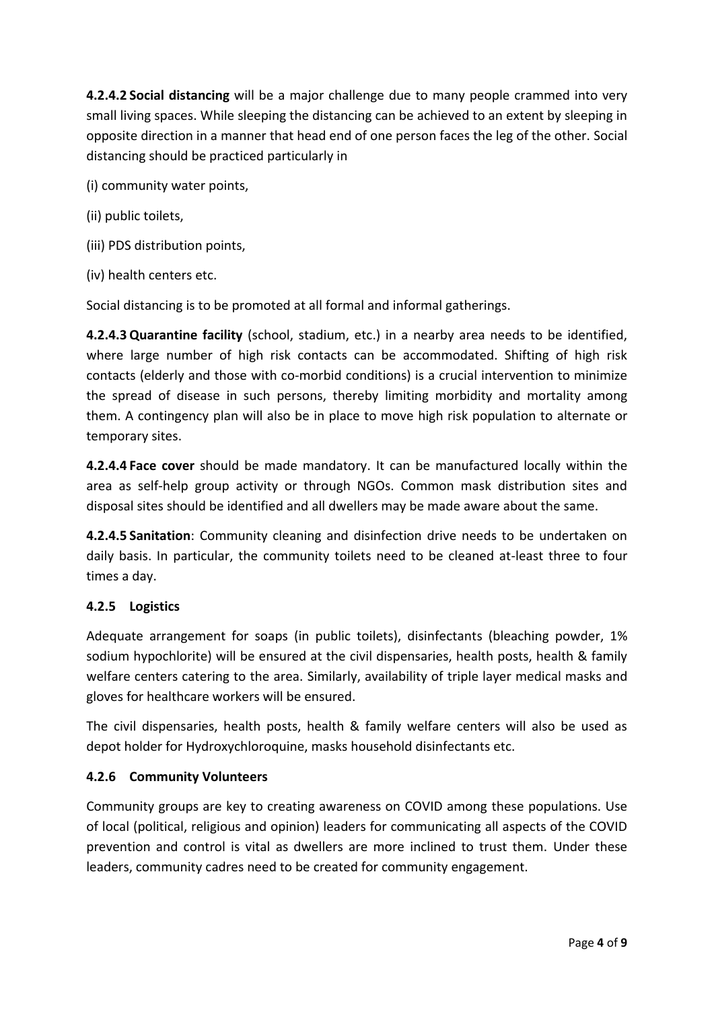**4.2.4.2 Social distancing** will be a major challenge due to many people crammed into very small living spaces. While sleeping the distancing can be achieved to an extent by sleeping in opposite direction in a manner that head end of one person faces the leg of the other. Social distancing should be practiced particularly in

(i) community water points,

- (ii) public toilets,
- (iii) PDS distribution points,
- (iv) health centers etc.

Social distancing is to be promoted at all formal and informal gatherings.

**4.2.4.3 Quarantine facility** (school, stadium, etc.) in a nearby area needs to be identified, where large number of high risk contacts can be accommodated. Shifting of high risk contacts (elderly and those with co-morbid conditions) is a crucial intervention to minimize the spread of disease in such persons, thereby limiting morbidity and mortality among them. A contingency plan will also be in place to move high risk population to alternate or temporary sites.

**4.2.4.4 Face cover** should be made mandatory. It can be manufactured locally within the area as self-help group activity or through NGOs. Common mask distribution sites and disposal sites should be identified and all dwellers may be made aware about the same.

**4.2.4.5 Sanitation**: Community cleaning and disinfection drive needs to be undertaken on daily basis. In particular, the community toilets need to be cleaned at-least three to four times a day.

## **4.2.5 Logistics**

Adequate arrangement for soaps (in public toilets), disinfectants (bleaching powder, 1% sodium hypochlorite) will be ensured at the civil dispensaries, health posts, health & family welfare centers catering to the area. Similarly, availability of triple layer medical masks and gloves for healthcare workers will be ensured.

The civil dispensaries, health posts, health & family welfare centers will also be used as depot holder for Hydroxychloroquine, masks household disinfectants etc.

## **4.2.6 Community Volunteers**

Community groups are key to creating awareness on COVID among these populations. Use of local (political, religious and opinion) leaders for communicating all aspects of the COVID prevention and control is vital as dwellers are more inclined to trust them. Under these leaders, community cadres need to be created for community engagement.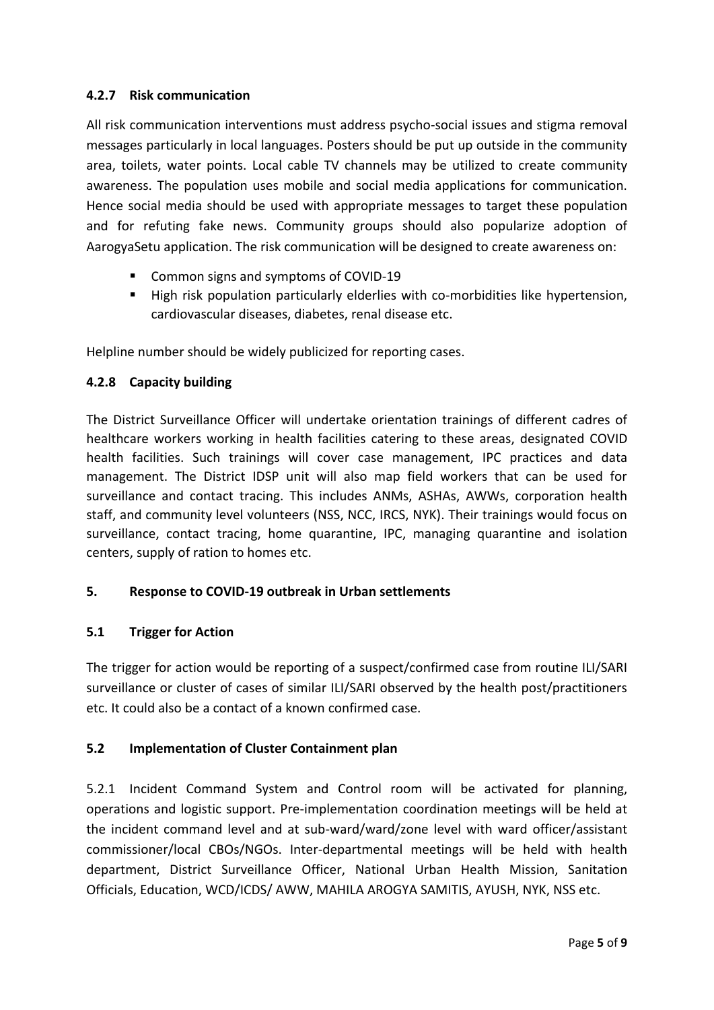### **4.2.7 Risk communication**

All risk communication interventions must address psycho-social issues and stigma removal messages particularly in local languages. Posters should be put up outside in the community area, toilets, water points. Local cable TV channels may be utilized to create community awareness. The population uses mobile and social media applications for communication. Hence social media should be used with appropriate messages to target these population and for refuting fake news. Community groups should also popularize adoption of AarogyaSetu application. The risk communication will be designed to create awareness on:

- Common signs and symptoms of COVID-19
- High risk population particularly elderlies with co-morbidities like hypertension, cardiovascular diseases, diabetes, renal disease etc.

Helpline number should be widely publicized for reporting cases.

#### **4.2.8 Capacity building**

The District Surveillance Officer will undertake orientation trainings of different cadres of healthcare workers working in health facilities catering to these areas, designated COVID health facilities. Such trainings will cover case management, IPC practices and data management. The District IDSP unit will also map field workers that can be used for surveillance and contact tracing. This includes ANMs, ASHAs, AWWs, corporation health staff, and community level volunteers (NSS, NCC, IRCS, NYK). Their trainings would focus on surveillance, contact tracing, home quarantine, IPC, managing quarantine and isolation centers, supply of ration to homes etc.

#### **5. Response to COVID-19 outbreak in Urban settlements**

#### **5.1 Trigger for Action**

The trigger for action would be reporting of a suspect/confirmed case from routine ILI/SARI surveillance or cluster of cases of similar ILI/SARI observed by the health post/practitioners etc. It could also be a contact of a known confirmed case.

## **5.2 Implementation of Cluster Containment plan**

5.2.1 Incident Command System and Control room will be activated for planning, operations and logistic support. Pre-implementation coordination meetings will be held at the incident command level and at sub-ward/ward/zone level with ward officer/assistant commissioner/local CBOs/NGOs. Inter-departmental meetings will be held with health department, District Surveillance Officer, National Urban Health Mission, Sanitation Officials, Education, WCD/ICDS/ AWW, MAHILA AROGYA SAMITIS, AYUSH, NYK, NSS etc.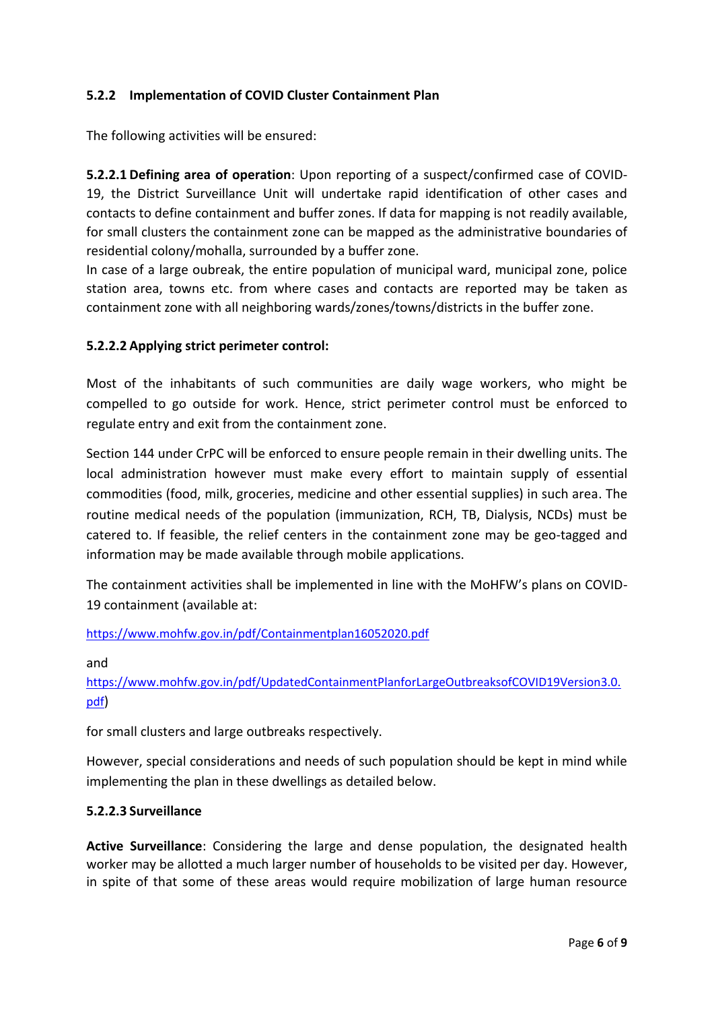## **5.2.2 Implementation of COVID Cluster Containment Plan**

The following activities will be ensured:

**5.2.2.1 Defining area of operation**: Upon reporting of a suspect/confirmed case of COVID-19, the District Surveillance Unit will undertake rapid identification of other cases and contacts to define containment and buffer zones. If data for mapping is not readily available, for small clusters the containment zone can be mapped as the administrative boundaries of residential colony/mohalla, surrounded by a buffer zone.

In case of a large oubreak, the entire population of municipal ward, municipal zone, police station area, towns etc. from where cases and contacts are reported may be taken as containment zone with all neighboring wards/zones/towns/districts in the buffer zone.

#### **5.2.2.2 Applying strict perimeter control:**

Most of the inhabitants of such communities are daily wage workers, who might be compelled to go outside for work. Hence, strict perimeter control must be enforced to regulate entry and exit from the containment zone.

Section 144 under CrPC will be enforced to ensure people remain in their dwelling units. The local administration however must make every effort to maintain supply of essential commodities (food, milk, groceries, medicine and other essential supplies) in such area. The routine medical needs of the population (immunization, RCH, TB, Dialysis, NCDs) must be catered to. If feasible, the relief centers in the containment zone may be geo-tagged and information may be made available through mobile applications.

The containment activities shall be implemented in line with the MoHFW's plans on COVID-19 containment (available at:

<https://www.mohfw.gov.in/pdf/Containmentplan16052020.pdf>

and

[https://www.mohfw.gov.in/pdf/UpdatedContainmentPlanforLargeOutbreaksofCOVID19Version3.0.](https://www.mohfw.gov.in/pdf/UpdatedContainmentPlanforLargeOutbreaksofCOVID19Version3.0.pdf) [pdf](https://www.mohfw.gov.in/pdf/UpdatedContainmentPlanforLargeOutbreaksofCOVID19Version3.0.pdf))

for small clusters and large outbreaks respectively.

However, special considerations and needs of such population should be kept in mind while implementing the plan in these dwellings as detailed below.

#### **5.2.2.3 Surveillance**

**Active Surveillance**: Considering the large and dense population, the designated health worker may be allotted a much larger number of households to be visited per day. However, in spite of that some of these areas would require mobilization of large human resource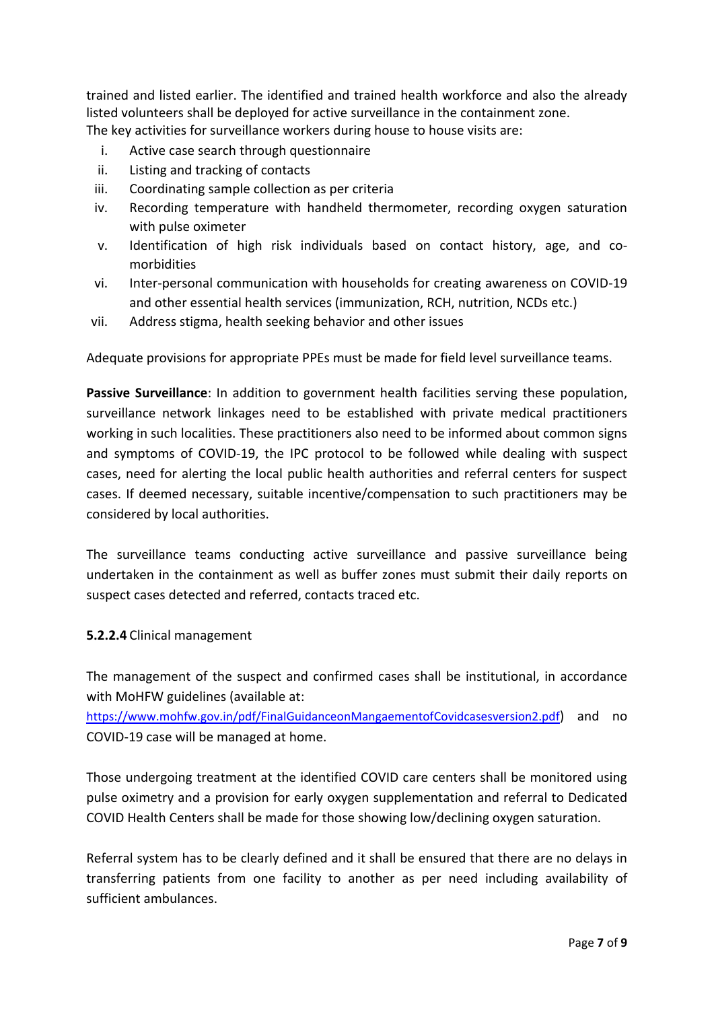trained and listed earlier. The identified and trained health workforce and also the already listed volunteers shall be deployed for active surveillance in the containment zone. The key activities for surveillance workers during house to house visits are:

- i. Active case search through questionnaire
- ii. Listing and tracking of contacts
- iii. Coordinating sample collection as per criteria
- iv. Recording temperature with handheld thermometer, recording oxygen saturation with pulse oximeter
- v. Identification of high risk individuals based on contact history, age, and comorbidities
- vi. Inter-personal communication with households for creating awareness on COVID-19 and other essential health services (immunization, RCH, nutrition, NCDs etc.)
- vii. Address stigma, health seeking behavior and other issues

Adequate provisions for appropriate PPEs must be made for field level surveillance teams.

**Passive Surveillance**: In addition to government health facilities serving these population, surveillance network linkages need to be established with private medical practitioners working in such localities. These practitioners also need to be informed about common signs and symptoms of COVID-19, the IPC protocol to be followed while dealing with suspect cases, need for alerting the local public health authorities and referral centers for suspect cases. If deemed necessary, suitable incentive/compensation to such practitioners may be considered by local authorities.

The surveillance teams conducting active surveillance and passive surveillance being undertaken in the containment as well as buffer zones must submit their daily reports on suspect cases detected and referred, contacts traced etc.

#### **5.2.2.4** Clinical management

The management of the suspect and confirmed cases shall be institutional, in accordance with MoHFW guidelines (available at:

<https://www.mohfw.gov.in/pdf/FinalGuidanceonMangaementofCovidcasesversion2.pdf>) and no COVID-19 case will be managed at home.

Those undergoing treatment at the identified COVID care centers shall be monitored using pulse oximetry and a provision for early oxygen supplementation and referral to Dedicated COVID Health Centers shall be made for those showing low/declining oxygen saturation.

Referral system has to be clearly defined and it shall be ensured that there are no delays in transferring patients from one facility to another as per need including availability of sufficient ambulances.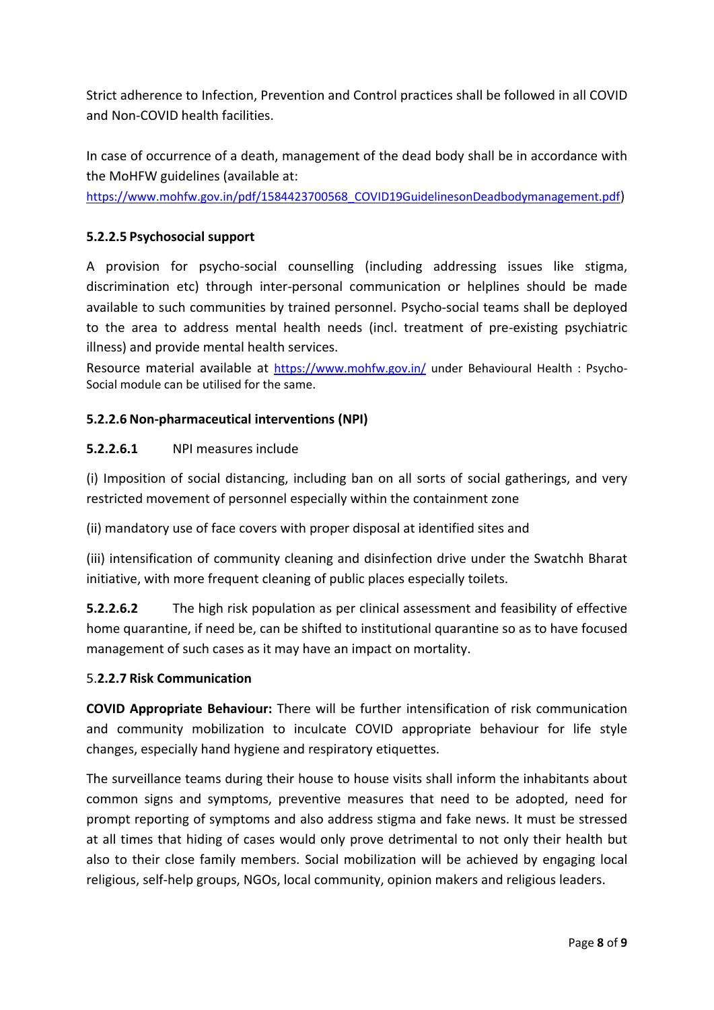Strict adherence to Infection, Prevention and Control practices shall be followed in all COVID and Non-COVID health facilities.

In case of occurrence of a death, management of the dead body shall be in accordance with the MoHFW guidelines (available at:

[https://www.mohfw.gov.in/pdf/1584423700568\\_COVID19GuidelinesonDeadbodymanagement.pdf](https://www.mohfw.gov.in/pdf/1584423700568_COVID19GuidelinesonDeadbodymanagement.pdf))

#### **5.2.2.5 Psychosocial support**

A provision for psycho-social counselling (including addressing issues like stigma, discrimination etc) through inter-personal communication or helplines should be made available to such communities by trained personnel. Psycho-social teams shall be deployed to the area to address mental health needs (incl. treatment of pre-existing psychiatric illness) and provide mental health services.

Resource material available at <https://www.mohfw.gov.in/> under Behavioural Health : Psycho-Social module can be utilised for the same.

#### **5.2.2.6 Non-pharmaceutical interventions (NPI)**

#### **5.2.2.6.1** NPI measures include

(i) Imposition of social distancing, including ban on all sorts of social gatherings, and very restricted movement of personnel especially within the containment zone

(ii) mandatory use of face covers with proper disposal at identified sites and

(iii) intensification of community cleaning and disinfection drive under the Swatchh Bharat initiative, with more frequent cleaning of public places especially toilets.

**5.2.2.6.2** The high risk population as per clinical assessment and feasibility of effective home quarantine, if need be, can be shifted to institutional quarantine so as to have focused management of such cases as it may have an impact on mortality.

## 5.**2.2.7 Risk Communication**

**COVID Appropriate Behaviour:** There will be further intensification of risk communication and community mobilization to inculcate COVID appropriate behaviour for life style changes, especially hand hygiene and respiratory etiquettes.

The surveillance teams during their house to house visits shall inform the inhabitants about common signs and symptoms, preventive measures that need to be adopted, need for prompt reporting of symptoms and also address stigma and fake news. It must be stressed at all times that hiding of cases would only prove detrimental to not only their health but also to their close family members. Social mobilization will be achieved by engaging local religious, self-help groups, NGOs, local community, opinion makers and religious leaders.